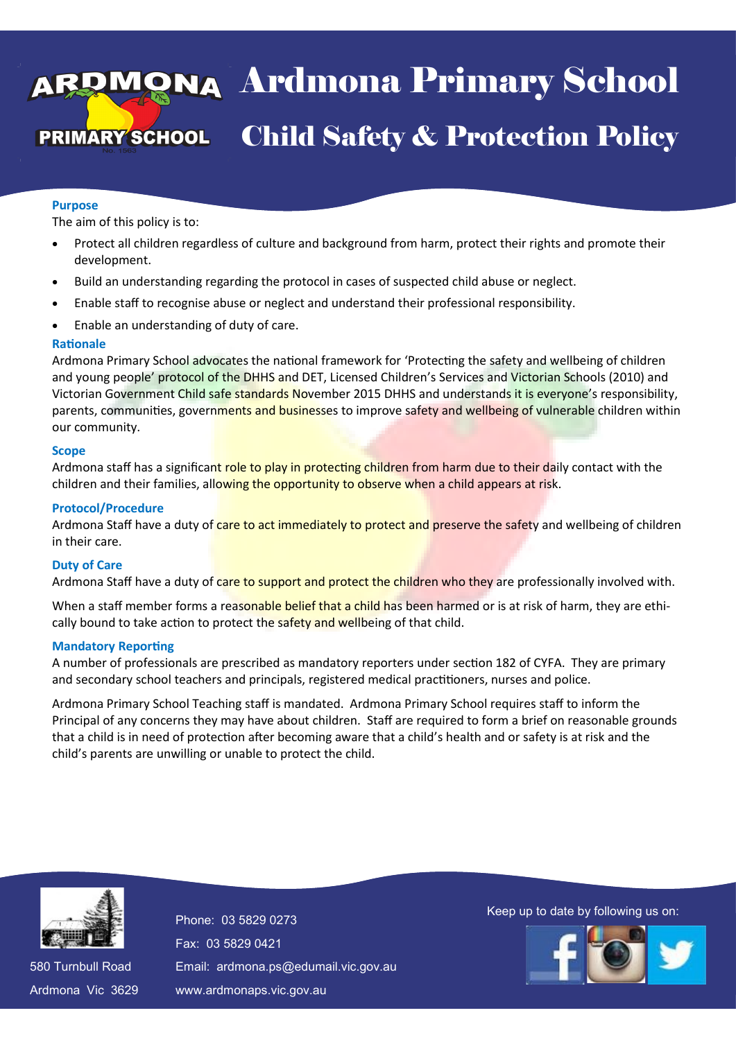## va Ardmona Pri **DL** Child Safety & Protection Policy 13 April 2016 Ardmona Primary School Child Safety & Protection Policy

#### **Purpose**

The aim of this policy is to:

- Protect all children regardless of culture and background from harm, protect their rights and promote their development.
- Build an understanding regarding the protocol in cases of suspected child abuse or neglect.
- Enable staff to recognise abuse or neglect and understand their professional responsibility.
- Enable an understanding of duty of care.

## **Rationale**

Ardmona Primary School advocates the national framework for 'Protecting the safety and wellbeing of children and young people' protocol of the DHHS and DET, Licensed Children's Services and Victorian Schools (2010) and Victorian Government Child safe standards November 2015 DHHS and understands it is everyone's responsibility, parents, communities, governments and businesses to improve safety and wellbeing of vulnerable children within our community.

#### **Scope**

Ardmona staff has a significant role to play in protecting children from harm due to their daily contact with the children and their families, allowing the opportunity to observe when a child appears at risk.

#### **Protocol/Procedure**

Ardmona Staff have a duty of care to act immediately to protect and preserve the safety and wellbeing of children in their care.

## **Duty of Care**

Ardmona Staff have a duty of care to support and protect the children who they are professionally involved with.

When a staff member forms a reasonable belief that a child has been harmed or is at risk of harm, they are ethically bound to take action to protect the safety and wellbeing of that child.

#### **Mandatory Reporting**

A number of professionals are prescribed as mandatory reporters under section 182 of CYFA. They are primary and secondary school teachers and principals, registered medical practitioners, nurses and police.

Ardmona Primary School Teaching staff is mandated. Ardmona Primary School requires staff to inform the Principal of any concerns they may have about children. Staff are required to form a brief on reasonable grounds that a child is in need of protection after becoming aware that a child's health and or safety is at risk and the child's parents are unwilling or unable to protect the child.



580 Turnbull Road 580 Turnbull Road Ardmona Vic 3629 Ardmona Vic 3629 Fax: 03 5829 0421 Fax: 03 5829 0421 Email: ardmona.ps@edumail.vic.gov.au Email: ardmona.ps@edumail.vic.gov.au www.ardmonaps.vic.gov.au www.ardmonaps.vic.gov.au

Thone: 03 5829 0273<br>Phone: 03 5829 0273

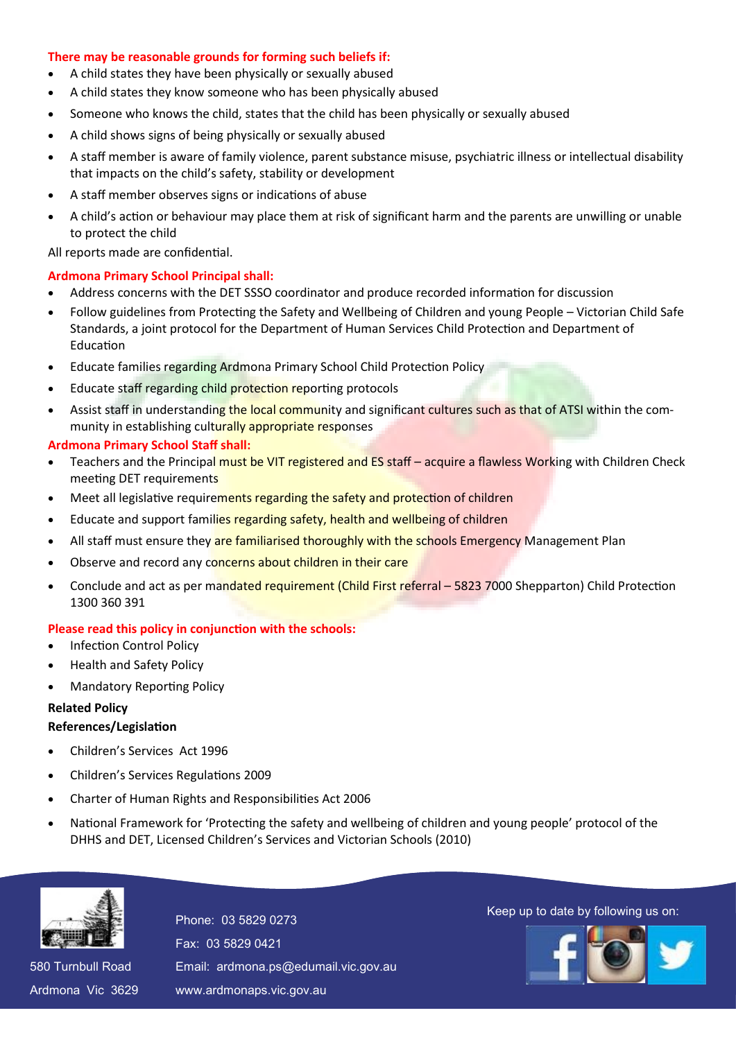## **There may be reasonable grounds for forming such beliefs if:**

- A child states they have been physically or sexually abused
- A child states they know someone who has been physically abused
- Someone who knows the child, states that the child has been physically or sexually abused
- A child shows signs of being physically or sexually abused
- A staff member is aware of family violence, parent substance misuse, psychiatric illness or intellectual disability that impacts on the child's safety, stability or development
- A staff member observes signs or indications of abuse
- A child's action or behaviour may place them at risk of significant harm and the parents are unwilling or unable to protect the child

All reports made are confidential.

## **Ardmona Primary School Principal shall:**

- Address concerns with the DET SSSO coordinator and produce recorded information for discussion
- Follow guidelines from Protecting the Safety and Wellbeing of Children and young People Victorian Child Safe Standards, a joint protocol for the Department of Human Services Child Protection and Department of Education
- Educate families regarding Ardmona Primary School Child Protection Policy
- Educate staff regarding child protection reporting protocols
- Assist staff in understanding the local community and significant cultures such as that of ATSI within the community in establishing culturally appropriate responses

## **Ardmona Primary School Staff shall:**

- Teachers and the Principal must be VIT registered and ES staff acquire a flawless Working with Children Check meeting DET requirements
- Meet all legislative requirements regarding the safety and protection of children
- Educate and support families regarding safety, health and wellbeing of children
- All staff must ensure they are familiarised thoroughly with the schools Emergency Management Plan
- Observe and record any concerns about children in their care
- Conclude and act as per mandated requirement (Child First referral 5823 7000 Shepparton) Child Protection 1300 360 391

## **Please read this policy in conjunction with the schools:**

- Infection Control Policy
- Health and Safety Policy
- Mandatory Reporting Policy

## **Related Policy**

## **References/Legislation**

- Children's Services Act 1996
- Children's Services Regulations 2009
- Charter of Human Rights and Responsibilities Act 2006
- National Framework for 'Protecting the safety and wellbeing of children and young people' protocol of the DHHS and DET, Licensed Children's Services and Victorian Schools (2010)



580 Turnbull Road 580 Turnbull Road Ardmona Vic 3629 Ardmona Vic 3629 Fax: 03 5829 0421 Fax: 03 5829 0421 Email: ardmona.ps@edumail.vic.gov.au Email: ardmona.ps@edumail.vic.gov.au www.ardmonaps.vic.gov.au www.ardmonaps.vic.gov.au

# Thone: 03 5829 0273<br>Phone: 03 5829 0273